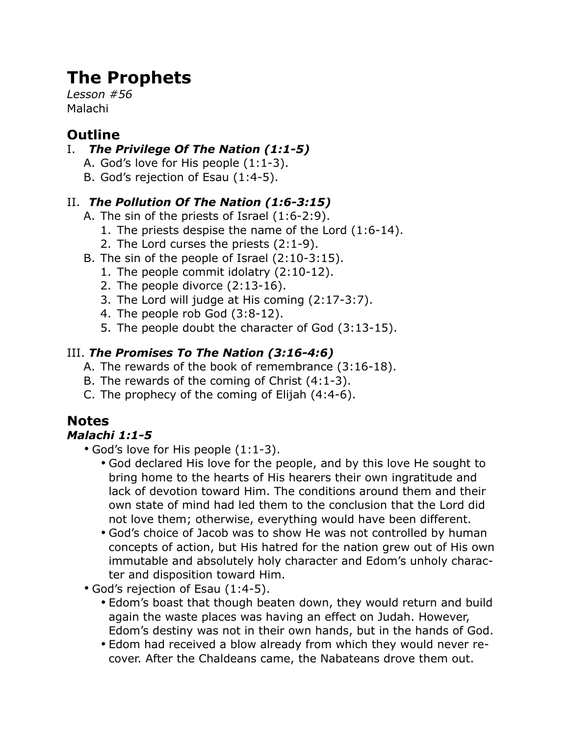# **The Prophets**

*Lesson #56* Malachi

### **Outline**

#### I. *The Privilege Of The Nation (1:1-5)*

- A. God's love for His people (1:1-3).
- B. God's rejection of Esau (1:4-5).

#### II. *The Pollution Of The Nation (1:6-3:15)*

- A. The sin of the priests of Israel (1:6-2:9).
	- 1. The priests despise the name of the Lord (1:6-14).
	- 2. The Lord curses the priests (2:1-9).
- B. The sin of the people of Israel (2:10-3:15).
	- 1. The people commit idolatry (2:10-12).
		- 2. The people divorce (2:13-16).
		- 3. The Lord will judge at His coming (2:17-3:7).
		- 4. The people rob God (3:8-12).
		- 5. The people doubt the character of God (3:13-15).

#### III. *The Promises To The Nation (3:16-4:6)*

- A. The rewards of the book of remembrance (3:16-18).
- B. The rewards of the coming of Christ (4:1-3).
- C. The prophecy of the coming of Elijah (4:4-6).

## **Notes**

#### *Malachi 1:1-5*

- God's love for His people (1:1-3).
	- God declared His love for the people, and by this love He sought to bring home to the hearts of His hearers their own ingratitude and lack of devotion toward Him. The conditions around them and their own state of mind had led them to the conclusion that the Lord did not love them; otherwise, everything would have been different.
	- God's choice of Jacob was to show He was not controlled by human concepts of action, but His hatred for the nation grew out of His own immutable and absolutely holy character and Edom's unholy character and disposition toward Him.
- God's rejection of Esau (1:4-5).
	- Edom's boast that though beaten down, they would return and build again the waste places was having an effect on Judah. However, Edom's destiny was not in their own hands, but in the hands of God.
	- Edom had received a blow already from which they would never recover. After the Chaldeans came, the Nabateans drove them out.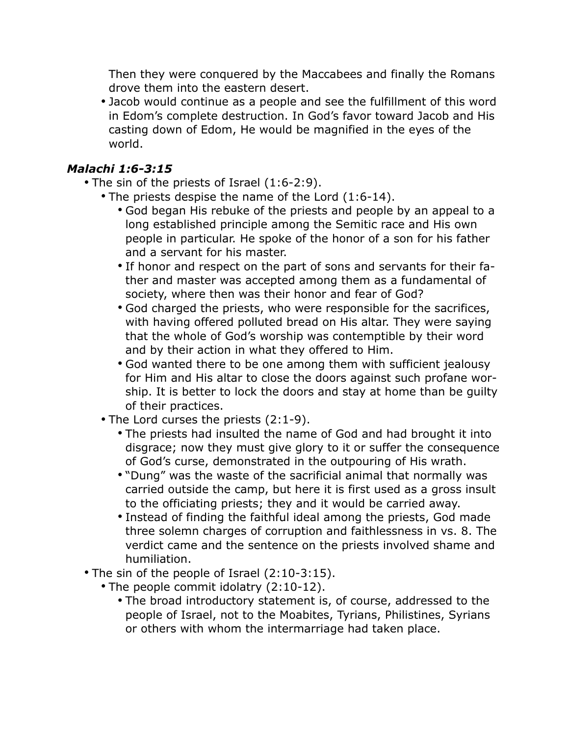Then they were conquered by the Maccabees and finally the Romans drove them into the eastern desert.

• Jacob would continue as a people and see the fulfillment of this word in Edom's complete destruction. In God's favor toward Jacob and His casting down of Edom, He would be magnified in the eyes of the world.

#### *Malachi 1:6-3:15*

- The sin of the priests of Israel (1:6-2:9).
	- The priests despise the name of the Lord (1:6-14).
		- God began His rebuke of the priests and people by an appeal to a long established principle among the Semitic race and His own people in particular. He spoke of the honor of a son for his father and a servant for his master.
		- If honor and respect on the part of sons and servants for their father and master was accepted among them as a fundamental of society, where then was their honor and fear of God?
		- God charged the priests, who were responsible for the sacrifices, with having offered polluted bread on His altar. They were saying that the whole of God's worship was contemptible by their word and by their action in what they offered to Him.
		- God wanted there to be one among them with sufficient jealousy for Him and His altar to close the doors against such profane worship. It is better to lock the doors and stay at home than be guilty of their practices.
	- The Lord curses the priests (2:1-9).
		- The priests had insulted the name of God and had brought it into disgrace; now they must give glory to it or suffer the consequence of God's curse, demonstrated in the outpouring of His wrath.
		- "Dung" was the waste of the sacrificial animal that normally was carried outside the camp, but here it is first used as a gross insult to the officiating priests; they and it would be carried away.
		- Instead of finding the faithful ideal among the priests, God made three solemn charges of corruption and faithlessness in vs. 8. The verdict came and the sentence on the priests involved shame and humiliation.
- The sin of the people of Israel (2:10-3:15).
	- The people commit idolatry (2:10-12).
		- The broad introductory statement is, of course, addressed to the people of Israel, not to the Moabites, Tyrians, Philistines, Syrians or others with whom the intermarriage had taken place.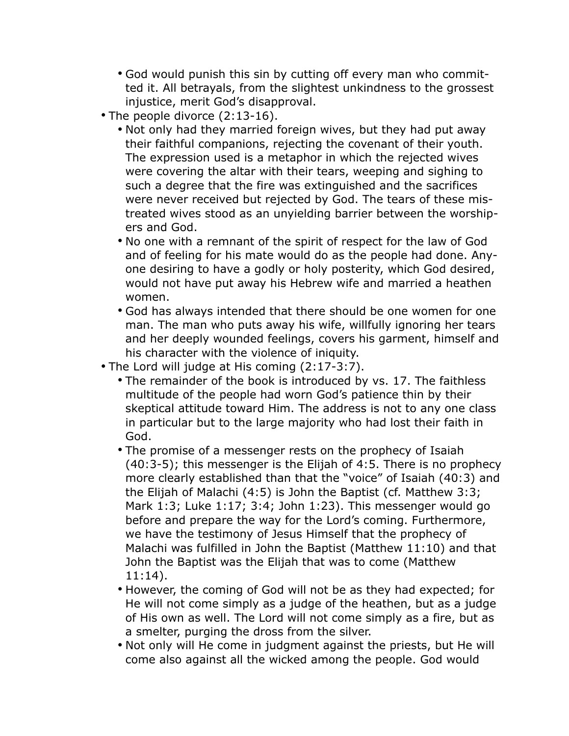- God would punish this sin by cutting off every man who committed it. All betrayals, from the slightest unkindness to the grossest injustice, merit God's disapproval.
- The people divorce (2:13-16).
	- Not only had they married foreign wives, but they had put away their faithful companions, rejecting the covenant of their youth. The expression used is a metaphor in which the rejected wives were covering the altar with their tears, weeping and sighing to such a degree that the fire was extinguished and the sacrifices were never received but rejected by God. The tears of these mistreated wives stood as an unyielding barrier between the worshipers and God.
	- No one with a remnant of the spirit of respect for the law of God and of feeling for his mate would do as the people had done. Anyone desiring to have a godly or holy posterity, which God desired, would not have put away his Hebrew wife and married a heathen women.
	- God has always intended that there should be one women for one man. The man who puts away his wife, willfully ignoring her tears and her deeply wounded feelings, covers his garment, himself and his character with the violence of iniquity.
- The Lord will judge at His coming (2:17-3:7).
	- The remainder of the book is introduced by vs. 17. The faithless multitude of the people had worn God's patience thin by their skeptical attitude toward Him. The address is not to any one class in particular but to the large majority who had lost their faith in God.
	- The promise of a messenger rests on the prophecy of Isaiah (40:3-5); this messenger is the Elijah of 4:5. There is no prophecy more clearly established than that the "voice" of Isaiah (40:3) and the Elijah of Malachi (4:5) is John the Baptist (cf. Matthew 3:3; Mark 1:3; Luke 1:17; 3:4; John 1:23). This messenger would go before and prepare the way for the Lord's coming. Furthermore, we have the testimony of Jesus Himself that the prophecy of Malachi was fulfilled in John the Baptist (Matthew 11:10) and that John the Baptist was the Elijah that was to come (Matthew 11:14).
	- However, the coming of God will not be as they had expected; for He will not come simply as a judge of the heathen, but as a judge of His own as well. The Lord will not come simply as a fire, but as a smelter, purging the dross from the silver.
	- Not only will He come in judgment against the priests, but He will come also against all the wicked among the people. God would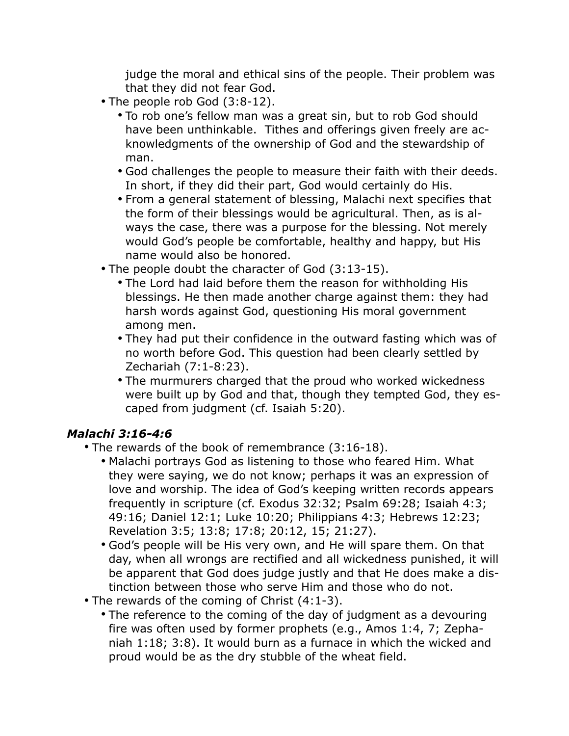judge the moral and ethical sins of the people. Their problem was that they did not fear God.

- The people rob God (3:8-12).
	- To rob one's fellow man was a great sin, but to rob God should have been unthinkable. Tithes and offerings given freely are acknowledgments of the ownership of God and the stewardship of man.
	- God challenges the people to measure their faith with their deeds. In short, if they did their part, God would certainly do His.
	- From a general statement of blessing, Malachi next specifies that the form of their blessings would be agricultural. Then, as is always the case, there was a purpose for the blessing. Not merely would God's people be comfortable, healthy and happy, but His name would also be honored.
- The people doubt the character of God (3:13-15).
	- The Lord had laid before them the reason for withholding His blessings. He then made another charge against them: they had harsh words against God, questioning His moral government among men.
	- They had put their confidence in the outward fasting which was of no worth before God. This question had been clearly settled by Zechariah (7:1-8:23).
	- The murmurers charged that the proud who worked wickedness were built up by God and that, though they tempted God, they escaped from judgment (cf. Isaiah 5:20).

#### *Malachi 3:16-4:6*

- The rewards of the book of remembrance (3:16-18).
	- Malachi portrays God as listening to those who feared Him. What they were saying, we do not know; perhaps it was an expression of love and worship. The idea of God's keeping written records appears frequently in scripture (cf. Exodus 32:32; Psalm 69:28; Isaiah 4:3; 49:16; Daniel 12:1; Luke 10:20; Philippians 4:3; Hebrews 12:23; Revelation 3:5; 13:8; 17:8; 20:12, 15; 21:27).
	- God's people will be His very own, and He will spare them. On that day, when all wrongs are rectified and all wickedness punished, it will be apparent that God does judge justly and that He does make a distinction between those who serve Him and those who do not.
- The rewards of the coming of Christ (4:1-3).
	- The reference to the coming of the day of judgment as a devouring fire was often used by former prophets (e.g., Amos 1:4, 7; Zephaniah 1:18; 3:8). It would burn as a furnace in which the wicked and proud would be as the dry stubble of the wheat field.